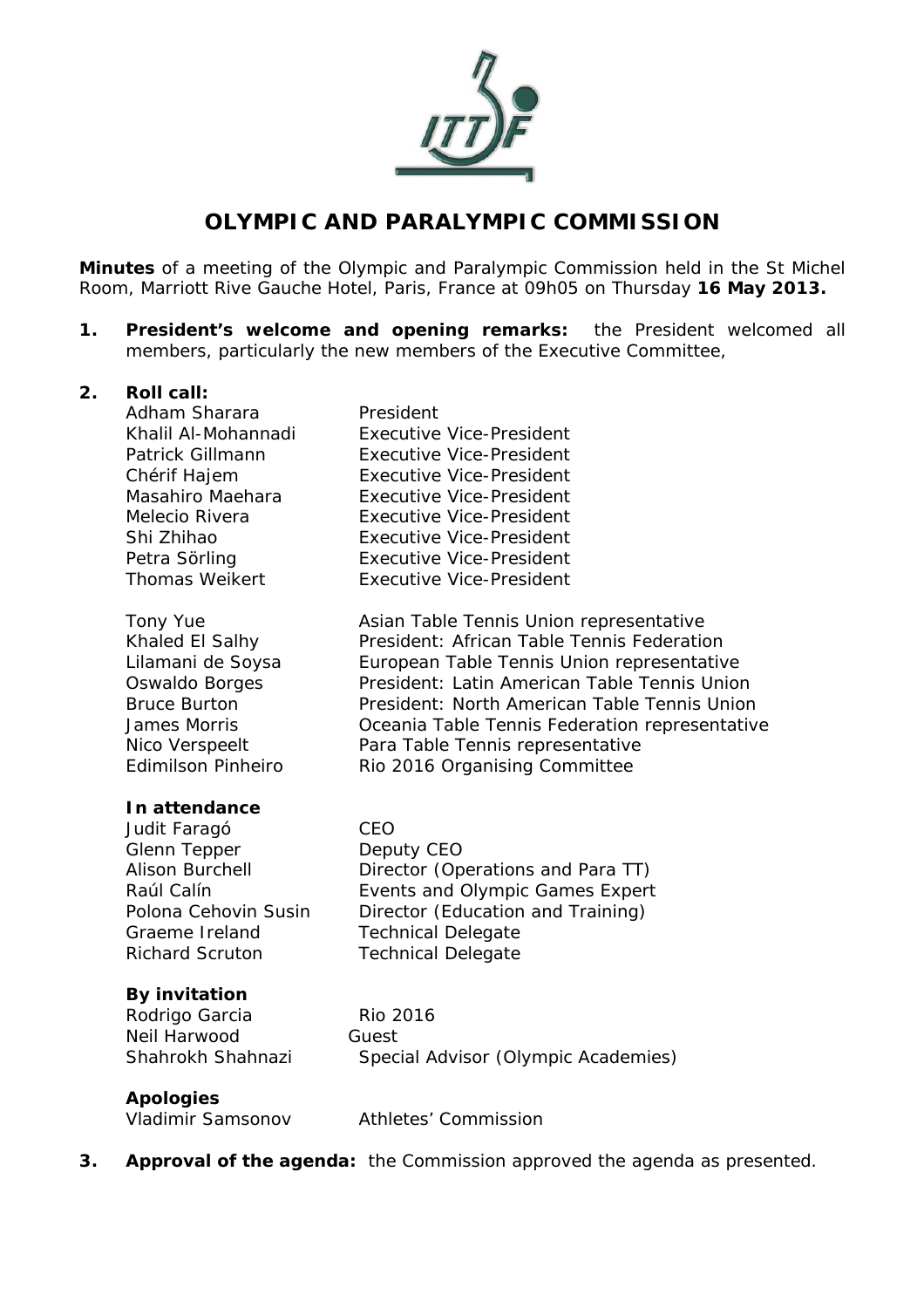

# **OLYMPIC AND PARALYMPIC COMMISSION**

**Minutes** of a meeting of the Olympic and Paralympic Commission held in the St Michel Room, Marriott Rive Gauche Hotel, Paris, France at 09h05 on Thursday **16 May 2013.** 

**1. President's welcome and opening remarks:** the President welcomed all members, particularly the new members of the Executive Committee,

#### **2. Roll call:**

| Adham Sharara         | President                       |
|-----------------------|---------------------------------|
| Khalil Al-Mohannadi   | <b>Executive Vice-President</b> |
| Patrick Gillmann      | Executive Vice-President        |
| Chérif Hajem          | Executive Vice-President        |
| Masahiro Maehara      | Executive Vice-President        |
| Melecio Rivera        | Executive Vice-President        |
| Shi Zhihao            | Executive Vice-President        |
| Petra Sörling         | <b>Executive Vice-President</b> |
| <b>Thomas Weikert</b> | <b>Executive Vice-President</b> |

Tony Yue **Asian Table Tennis Union representative** Khaled El Salhy President: African Table Tennis Federation Lilamani de Soysa European Table Tennis Union representative Oswaldo Borges **President: Latin American Table Tennis Union** Bruce Burton President: North American Table Tennis Union James Morris Oceania Table Tennis Federation representative Nico Verspeelt Para Table Tennis representative Edimilson Pinheiro Rio 2016 Organising Committee

#### **In attendance**

Judit Faragó CEO Glenn Tepper Deputy CEO Graeme Ireland Technical Delegate Richard Scruton Technical Delegate

Alison Burchell **Director (Operations and Para TT)** Raúl Calín **Events and Olympic Games Expert** Polona Cehovin Susin Director (Education and Training)

#### **By invitation**

Rodrigo Garcia Rio 2016 Neil Harwood Guest Shahrokh Shahnazi Special Advisor (Olympic Academies)

# **Apologies**

Vladimir Samsonov Athletes' Commission

**3. Approval of the agenda:** the Commission approved the agenda as presented.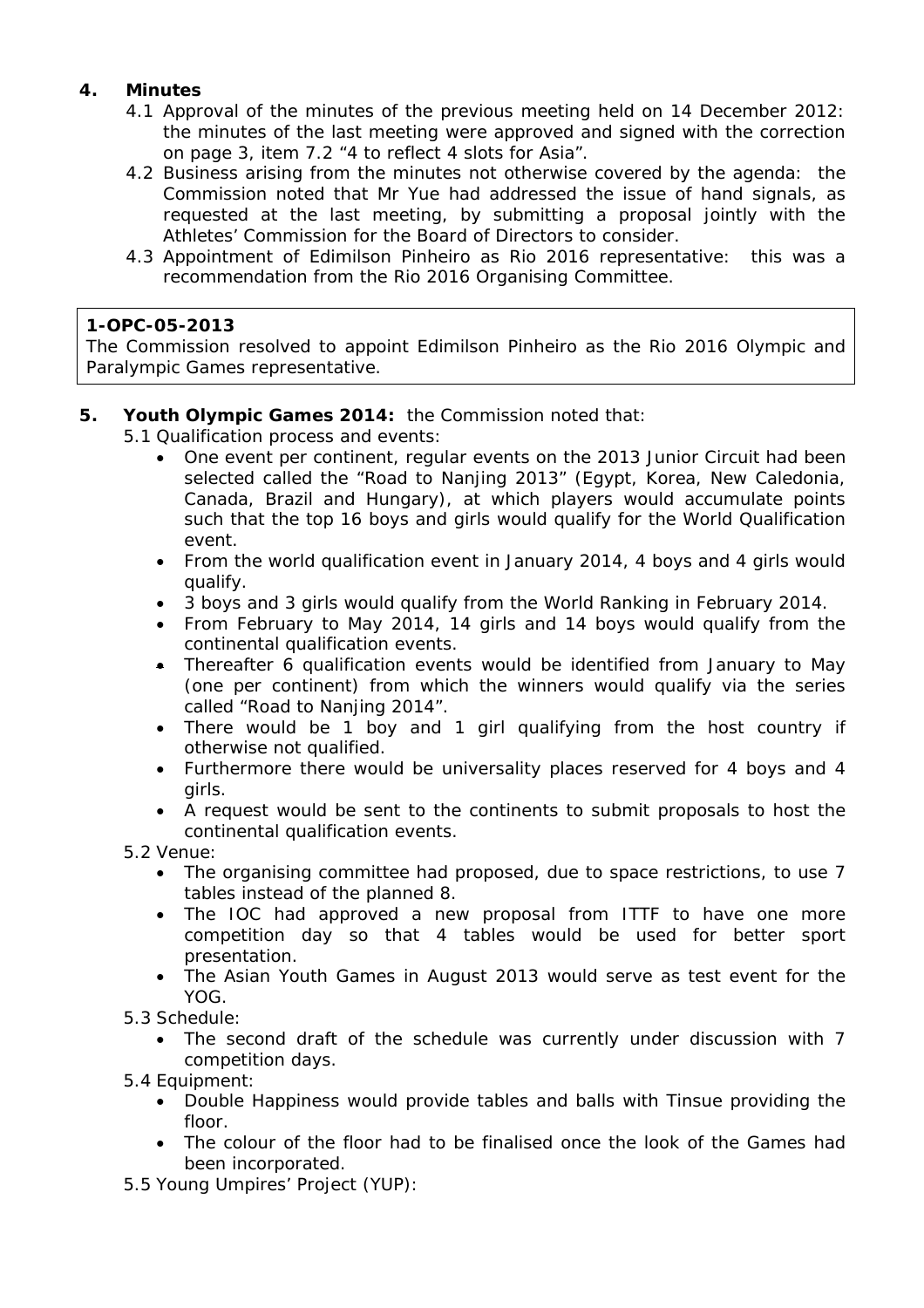## **4. Minutes**

- 4.1 Approval of the minutes of the previous meeting held on 14 December 2012: the minutes of the last meeting were approved and signed with the correction on page 3, item 7.2 "4 to reflect 4 slots for Asia".
- 4.2 Business arising from the minutes not otherwise covered by the agenda: the Commission noted that Mr Yue had addressed the issue of hand signals, as requested at the last meeting, by submitting a proposal jointly with the Athletes' Commission for the Board of Directors to consider.
- 4.3 Appointment of Edimilson Pinheiro as Rio 2016 representative: this was a recommendation from the Rio 2016 Organising Committee.

#### **1-OPC-05-2013**

The Commission resolved to appoint Edimilson Pinheiro as the Rio 2016 Olympic and Paralympic Games representative.

#### **5. Youth Olympic Games 2014:** the Commission noted that:

- 5.1 Qualification process and events:
	- One event per continent, regular events on the 2013 Junior Circuit had been selected called the "Road to Nanjing 2013" (Egypt, Korea, New Caledonia, Canada, Brazil and Hungary), at which players would accumulate points such that the top 16 boys and girls would qualify for the World Qualification event.
	- From the world qualification event in January 2014, 4 boys and 4 girls would qualify.
	- 3 boys and 3 girls would qualify from the World Ranking in February 2014.
	- From February to May 2014, 14 girls and 14 boys would qualify from the continental qualification events.
	- Thereafter 6 qualification events would be identified from January to May (one per continent) from which the winners would qualify via the series called "Road to Nanjing 2014".
	- There would be 1 boy and 1 girl qualifying from the host country if otherwise not qualified.
	- Furthermore there would be universality places reserved for 4 boys and 4 girls.
	- A request would be sent to the continents to submit proposals to host the continental qualification events.

5.2 Venue:

- The organising committee had proposed, due to space restrictions, to use 7 tables instead of the planned 8.
- The IOC had approved a new proposal from ITTF to have one more competition day so that 4 tables would be used for better sport presentation.
- The Asian Youth Games in August 2013 would serve as test event for the YOG.
- 5.3 Schedule:
	- The second draft of the schedule was currently under discussion with 7 competition days.
- 5.4 Equipment:
	- Double Happiness would provide tables and balls with Tinsue providing the floor.
	- The colour of the floor had to be finalised once the look of the Games had been incorporated.
- 5.5 Young Umpires' Project (YUP):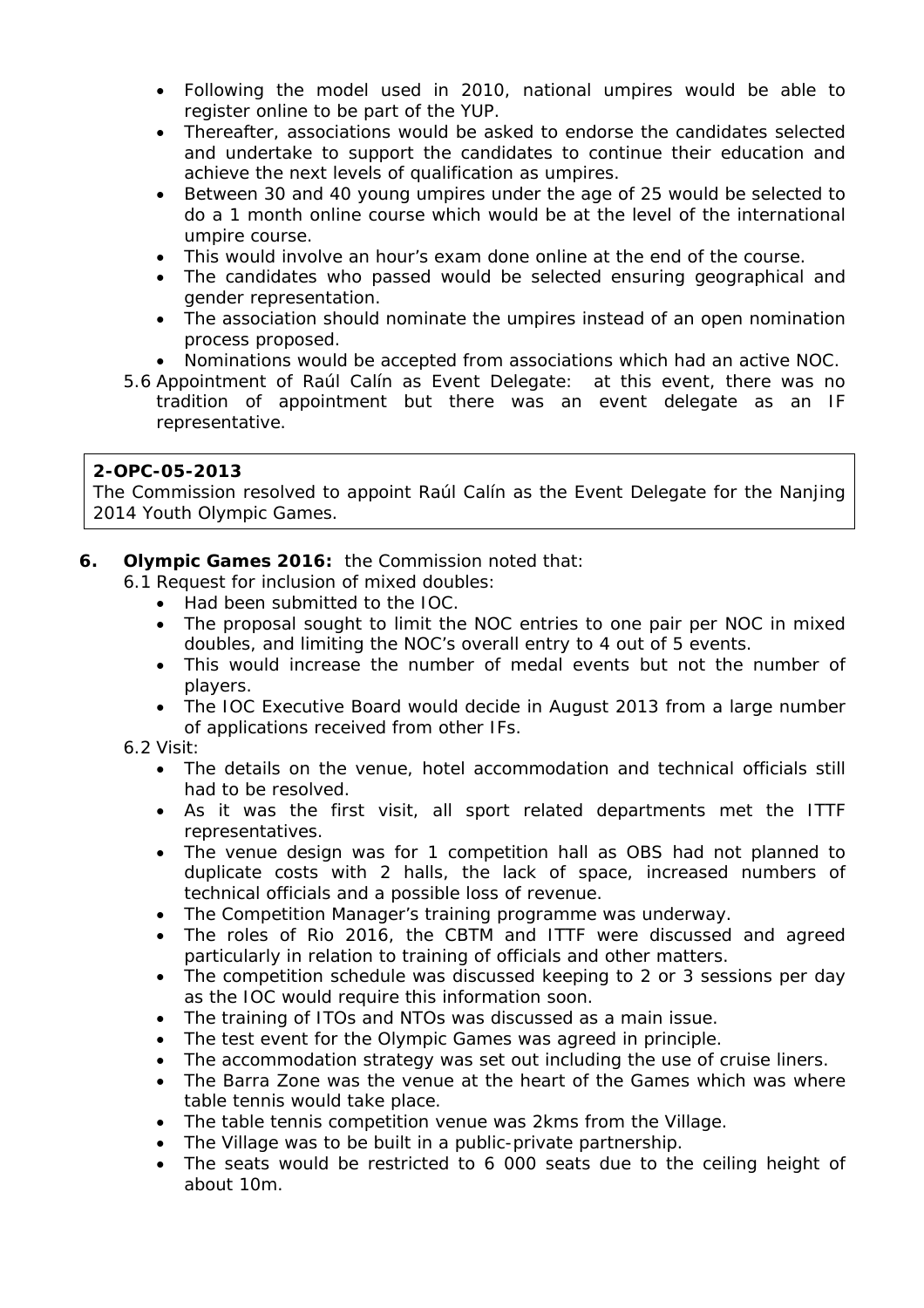- Following the model used in 2010, national umpires would be able to register online to be part of the YUP.
- Thereafter, associations would be asked to endorse the candidates selected and undertake to support the candidates to continue their education and achieve the next levels of qualification as umpires.
- Between 30 and 40 young umpires under the age of 25 would be selected to do a 1 month online course which would be at the level of the international umpire course.
- This would involve an hour's exam done online at the end of the course.
- The candidates who passed would be selected ensuring geographical and gender representation.
- The association should nominate the umpires instead of an open nomination process proposed.
- Nominations would be accepted from associations which had an active NOC.
- 5.6 Appointment of Raúl Calín as Event Delegate: at this event, there was no tradition of appointment but there was an event delegate as an IF representative.

## **2-OPC-05-2013**

The Commission resolved to appoint Raúl Calín as the Event Delegate for the Nanjing 2014 Youth Olympic Games.

**6. Olympic Games 2016:** the Commission noted that:

6.1 Request for inclusion of mixed doubles:

- Had been submitted to the IOC.
- The proposal sought to limit the NOC entries to one pair per NOC in mixed doubles, and limiting the NOC's overall entry to 4 out of 5 events.
- This would increase the number of medal events but not the number of players.
- The IOC Executive Board would decide in August 2013 from a large number of applications received from other IFs.
- 6.2 Visit:
	- The details on the venue, hotel accommodation and technical officials still had to be resolved.
	- As it was the first visit, all sport related departments met the ITTF representatives.
	- The venue design was for 1 competition hall as OBS had not planned to duplicate costs with 2 halls, the lack of space, increased numbers of technical officials and a possible loss of revenue.
	- The Competition Manager's training programme was underway.
	- The roles of Rio 2016, the CBTM and ITTF were discussed and agreed particularly in relation to training of officials and other matters.
	- The competition schedule was discussed keeping to 2 or 3 sessions per day as the IOC would require this information soon.
	- The training of ITOs and NTOs was discussed as a main issue.
	- The test event for the Olympic Games was agreed in principle.
	- The accommodation strategy was set out including the use of cruise liners.
	- The Barra Zone was the venue at the heart of the Games which was where table tennis would take place.
	- The table tennis competition venue was 2kms from the Village.
	- The Village was to be built in a public-private partnership.
	- The seats would be restricted to 6 000 seats due to the ceiling height of about 10m.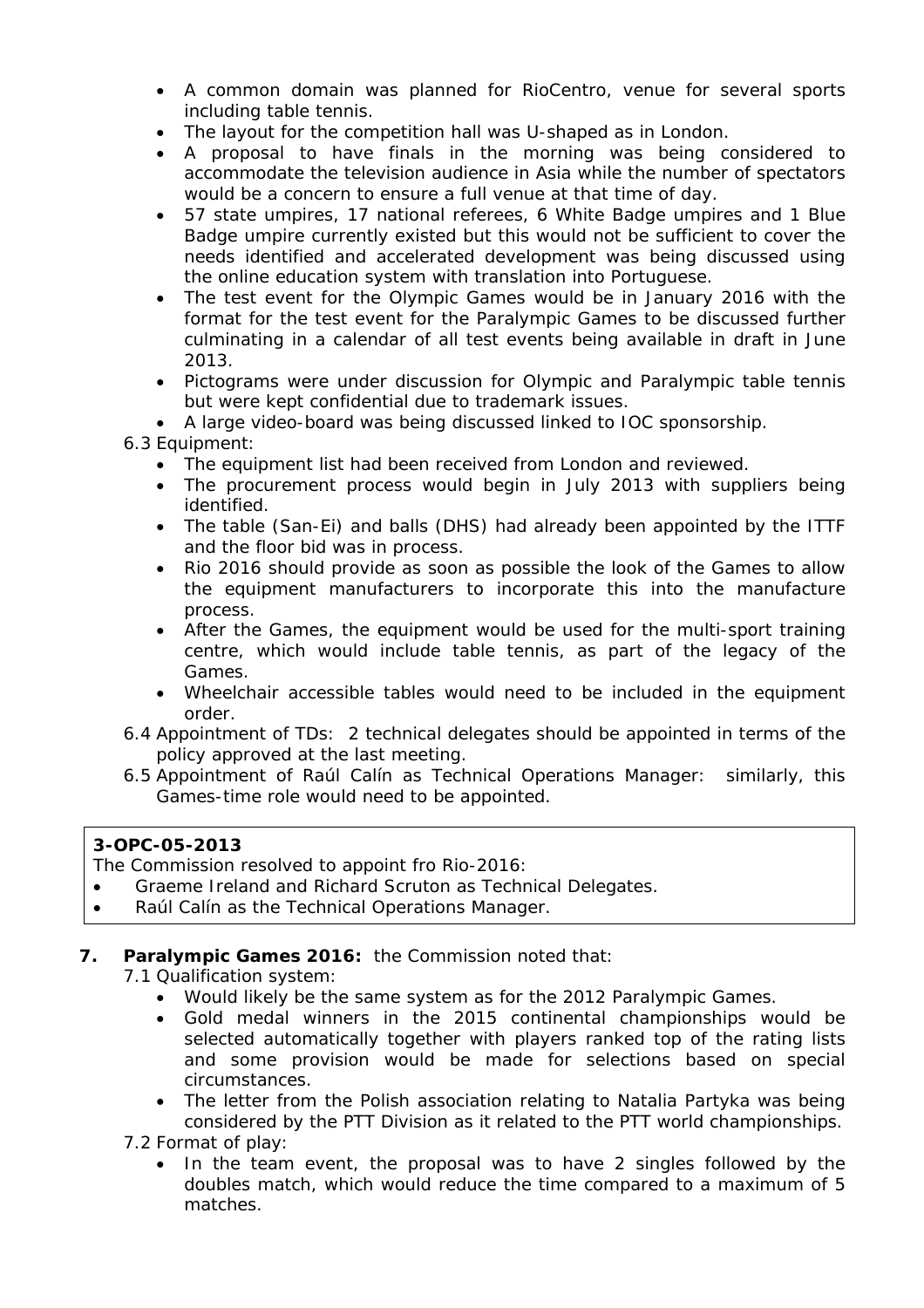- A common domain was planned for RioCentro, venue for several sports including table tennis.
- The layout for the competition hall was U-shaped as in London.
- A proposal to have finals in the morning was being considered to accommodate the television audience in Asia while the number of spectators would be a concern to ensure a full venue at that time of day.
- 57 state umpires, 17 national referees, 6 White Badge umpires and 1 Blue Badge umpire currently existed but this would not be sufficient to cover the needs identified and accelerated development was being discussed using the online education system with translation into Portuguese.
- The test event for the Olympic Games would be in January 2016 with the format for the test event for the Paralympic Games to be discussed further culminating in a calendar of all test events being available in draft in June 2013.
- Pictograms were under discussion for Olympic and Paralympic table tennis but were kept confidential due to trademark issues.
- A large video-board was being discussed linked to IOC sponsorship.
- 6.3 Equipment:
	- The equipment list had been received from London and reviewed.
	- The procurement process would begin in July 2013 with suppliers being identified.
	- The table (San-Ei) and balls (DHS) had already been appointed by the ITTF and the floor bid was in process.
	- Rio 2016 should provide as soon as possible the look of the Games to allow the equipment manufacturers to incorporate this into the manufacture process.
	- After the Games, the equipment would be used for the multi-sport training centre, which would include table tennis, as part of the legacy of the Games.
	- Wheelchair accessible tables would need to be included in the equipment order.
- 6.4 Appointment of TDs: 2 technical delegates should be appointed in terms of the policy approved at the last meeting.
- 6.5 Appointment of Raúl Calín as Technical Operations Manager: similarly, this Games-time role would need to be appointed.

# **3-OPC-05-2013**

The Commission resolved to appoint fro Rio-2016:

- Graeme Ireland and Richard Scruton as Technical Delegates.
- Raúl Calín as the Technical Operations Manager.

## **7. Paralympic Games 2016:** the Commission noted that:

7.1 Qualification system:

- Would likely be the same system as for the 2012 Paralympic Games.
- Gold medal winners in the 2015 continental championships would be selected automatically together with players ranked top of the rating lists and some provision would be made for selections based on special circumstances.
- The letter from the Polish association relating to Natalia Partyka was being considered by the PTT Division as it related to the PTT world championships.

7.2 Format of play:

 In the team event, the proposal was to have 2 singles followed by the doubles match, which would reduce the time compared to a maximum of 5 matches.